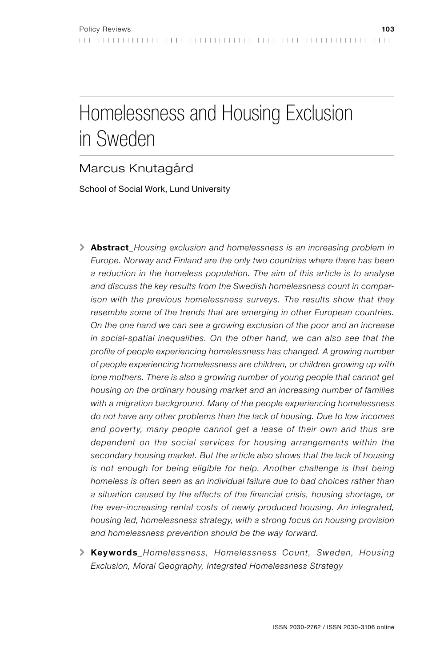# Homelessness and Housing Exclusion in Sweden

# Marcus Knutagård

School of Social Work, Lund University

- ! Abstract*\_Housing exclusion and homelessness is an increasing problem in Europe. Norway and Finland are the only two countries where there has been a reduction in the homeless population. The aim of this article is to analyse and discuss the key results from the Swedish homelessness count in comparison with the previous homelessness surveys. The results show that they resemble some of the trends that are emerging in other European countries. On the one hand we can see a growing exclusion of the poor and an increase in social-spatial inequalities. On the other hand, we can also see that the profile of people experiencing homelessness has changed. A growing number of people experiencing homelessness are children, or children growing up with lone mothers. There is also a growing number of young people that cannot get housing on the ordinary housing market and an increasing number of families with a migration background. Many of the people experiencing homelessness do not have any other problems than the lack of housing. Due to low incomes and poverty, many people cannot get a lease of their own and thus are dependent on the social services for housing arrangements within the secondary housing market. But the article also shows that the lack of housing is not enough for being eligible for help. Another challenge is that being homeless is often seen as an individual failure due to bad choices rather than a situation caused by the effects of the financial crisis, housing shortage, or the ever-increasing rental costs of newly produced housing. An integrated, housing led, homelessness strategy, with a strong focus on housing provision and homelessness prevention should be the way forward.*
- ! Keywords*\_ Homelessness, Homelessness Count, Sweden, Housing Exclusion, Moral Geography, Integrated Homelessness Strategy*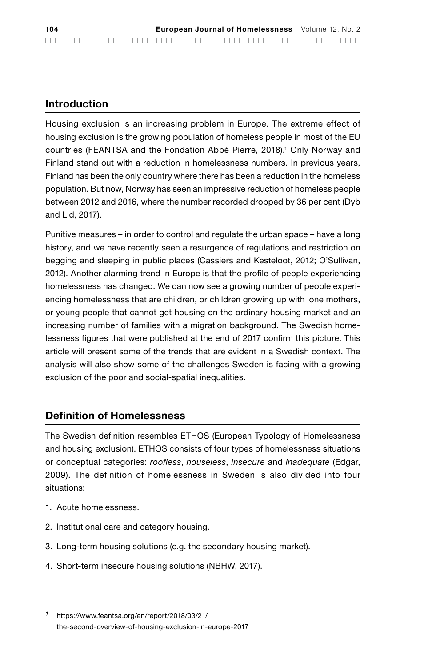# Introduction

Housing exclusion is an increasing problem in Europe. The extreme effect of housing exclusion is the growing population of homeless people in most of the EU countries (FEANTSA and the Fondation Abbé Pierre, 2018).1 Only Norway and Finland stand out with a reduction in homelessness numbers. In previous years, Finland has been the only country where there has been a reduction in the homeless population. But now, Norway has seen an impressive reduction of homeless people between 2012 and 2016, where the number recorded dropped by 36 per cent (Dyb and Lid, 2017).

Punitive measures – in order to control and regulate the urban space – have a long history, and we have recently seen a resurgence of regulations and restriction on begging and sleeping in public places (Cassiers and Kesteloot, 2012; O'Sullivan, 2012). Another alarming trend in Europe is that the profile of people experiencing homelessness has changed. We can now see a growing number of people experiencing homelessness that are children, or children growing up with lone mothers, or young people that cannot get housing on the ordinary housing market and an increasing number of families with a migration background. The Swedish homelessness figures that were published at the end of 2017 confirm this picture. This article will present some of the trends that are evident in a Swedish context. The analysis will also show some of the challenges Sweden is facing with a growing exclusion of the poor and social-spatial inequalities.

# Definition of Homelessness

The Swedish definition resembles ETHOS (European Typology of Homelessness and housing exclusion). ETHOS consists of four types of homelessness situations or conceptual categories: *roofless*, *houseless*, *insecure* and *inadequate* (Edgar, 2009). The definition of homelessness in Sweden is also divided into four situations:

- 1. Acute homelessness.
- 2. Institutional care and category housing.
- 3. Long-term housing solutions (e.g. the secondary housing market).
- 4. Short-term insecure housing solutions (NBHW, 2017).

*<sup>1</sup>* https://www.feantsa.org/en/report/2018/03/21/ the-second-overview-of-housing-exclusion-in-europe-2017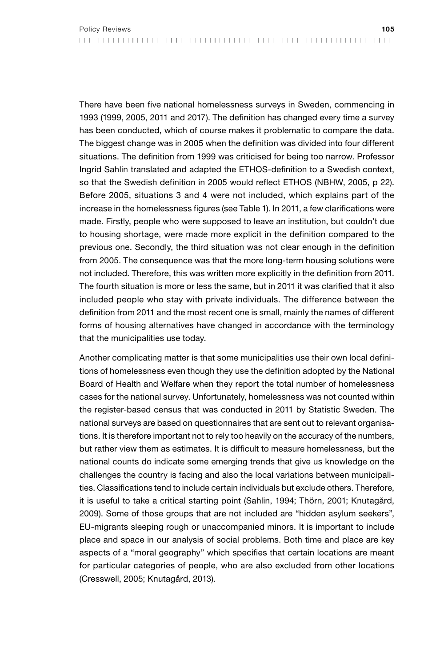There have been five national homelessness surveys in Sweden, commencing in 1993 (1999, 2005, 2011 and 2017). The definition has changed every time a survey has been conducted, which of course makes it problematic to compare the data. The biggest change was in 2005 when the definition was divided into four different situations. The definition from 1999 was criticised for being too narrow. Professor Ingrid Sahlin translated and adapted the ETHOS-definition to a Swedish context, so that the Swedish definition in 2005 would reflect ETHOS (NBHW, 2005, p 22). Before 2005, situations 3 and 4 were not included, which explains part of the increase in the homelessness figures (see Table 1). In 2011, a few clarifications were made. Firstly, people who were supposed to leave an institution, but couldn't due to housing shortage, were made more explicit in the definition compared to the previous one. Secondly, the third situation was not clear enough in the definition from 2005. The consequence was that the more long-term housing solutions were not included. Therefore, this was written more explicitly in the definition from 2011. The fourth situation is more or less the same, but in 2011 it was clarified that it also included people who stay with private individuals. The difference between the definition from 2011 and the most recent one is small, mainly the names of different forms of housing alternatives have changed in accordance with the terminology that the municipalities use today.

Another complicating matter is that some municipalities use their own local definitions of homelessness even though they use the definition adopted by the National Board of Health and Welfare when they report the total number of homelessness cases for the national survey. Unfortunately, homelessness was not counted within the register-based census that was conducted in 2011 by Statistic Sweden. The national surveys are based on questionnaires that are sent out to relevant organisations. It is therefore important not to rely too heavily on the accuracy of the numbers, but rather view them as estimates. It is difficult to measure homelessness, but the national counts do indicate some emerging trends that give us knowledge on the challenges the country is facing and also the local variations between municipalities. Classifications tend to include certain individuals but exclude others. Therefore, it is useful to take a critical starting point (Sahlin, 1994; Thörn, 2001; Knutagård, 2009). Some of those groups that are not included are "hidden asylum seekers", EU-migrants sleeping rough or unaccompanied minors. It is important to include place and space in our analysis of social problems. Both time and place are key aspects of a "moral geography" which specifies that certain locations are meant for particular categories of people, who are also excluded from other locations (Cresswell, 2005; Knutagård, 2013).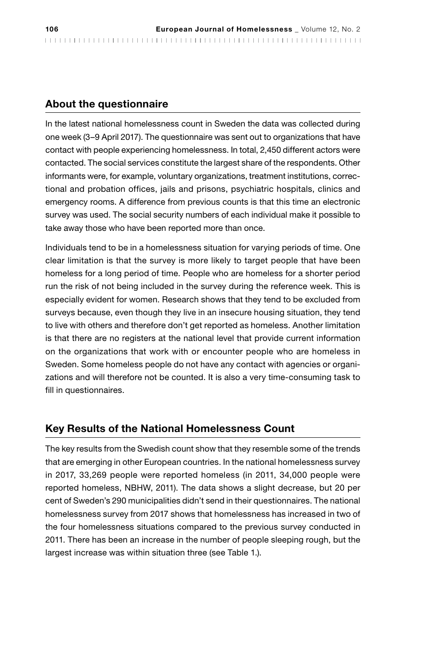# About the questionnaire

In the latest national homelessness count in Sweden the data was collected during one week (3–9 April 2017). The questionnaire was sent out to organizations that have contact with people experiencing homelessness. In total, 2,450 different actors were contacted. The social services constitute the largest share of the respondents. Other informants were, for example, voluntary organizations, treatment institutions, correctional and probation offices, jails and prisons, psychiatric hospitals, clinics and emergency rooms. A difference from previous counts is that this time an electronic survey was used. The social security numbers of each individual make it possible to take away those who have been reported more than once.

Individuals tend to be in a homelessness situation for varying periods of time. One clear limitation is that the survey is more likely to target people that have been homeless for a long period of time. People who are homeless for a shorter period run the risk of not being included in the survey during the reference week. This is especially evident for women. Research shows that they tend to be excluded from surveys because, even though they live in an insecure housing situation, they tend to live with others and therefore don't get reported as homeless. Another limitation is that there are no registers at the national level that provide current information on the organizations that work with or encounter people who are homeless in Sweden. Some homeless people do not have any contact with agencies or organizations and will therefore not be counted. It is also a very time-consuming task to fill in questionnaires.

# Key Results of the National Homelessness Count

The key results from the Swedish count show that they resemble some of the trends that are emerging in other European countries. In the national homelessness survey in 2017, 33,269 people were reported homeless (in 2011, 34,000 people were reported homeless, NBHW, 2011). The data shows a slight decrease, but 20 per cent of Sweden's 290 municipalities didn't send in their questionnaires. The national homelessness survey from 2017 shows that homelessness has increased in two of the four homelessness situations compared to the previous survey conducted in 2011. There has been an increase in the number of people sleeping rough, but the largest increase was within situation three (see Table 1.).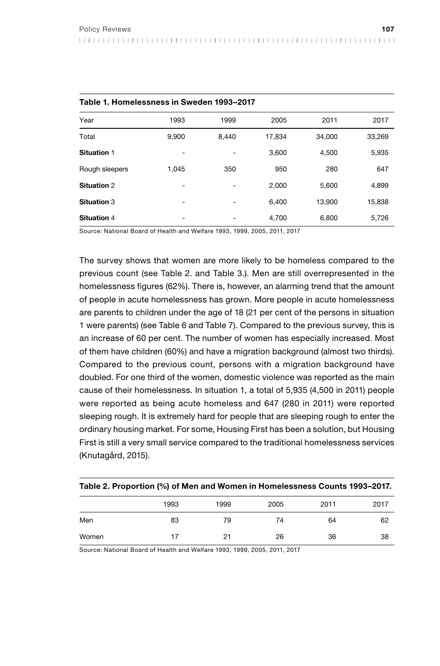| Table 1. Homelessness in Sweden 1993-2017 |       |       |        |        |        |  |
|-------------------------------------------|-------|-------|--------|--------|--------|--|
| Year                                      | 1993  | 1999  | 2005   | 2011   | 2017   |  |
| Total                                     | 9.900 | 8.440 | 17.834 | 34.000 | 33,269 |  |
| Situation 1                               | ۰     |       | 3.600  | 4.500  | 5,935  |  |
| Rough sleepers                            | 1.045 | 350   | 950    | 280    | 647    |  |
| <b>Situation 2</b>                        | ٠     |       | 2.000  | 5,600  | 4,899  |  |
| Situation 3                               | ۰     |       | 6.400  | 13,900 | 15,838 |  |
| <b>Situation 4</b>                        | -     |       | 4.700  | 6.800  | 5.726  |  |

Source: National Board of Health and Welfare 1993, 1999, 2005, 2011, 2017

The survey shows that women are more likely to be homeless compared to the previous count (see Table 2. and Table 3.). Men are still overrepresented in the homelessness figures (62%). There is, however, an alarming trend that the amount of people in acute homelessness has grown. More people in acute homelessness are parents to children under the age of 18 (21 per cent of the persons in situation 1 were parents) (see Table 6 and Table 7). Compared to the previous survey, this is an increase of 60 per cent. The number of women has especially increased. Most of them have children (60%) and have a migration background (almost two thirds). Compared to the previous count, persons with a migration background have doubled. For one third of the women, domestic violence was reported as the main cause of their homelessness. In situation 1, a total of 5,935 (4,500 in 2011) people were reported as being acute homeless and 647 (280 in 2011) were reported sleeping rough. It is extremely hard for people that are sleeping rough to enter the ordinary housing market. For some, Housing First has been a solution, but Housing First is still a very small service compared to the traditional homelessness services (Knutagård, 2015).

| Table 2. Proportion (%) of Men and Women in Homelessness Counts 1993–2017. |      |      |      |      |      |  |
|----------------------------------------------------------------------------|------|------|------|------|------|--|
|                                                                            | 1993 | 1999 | 2005 | 2011 | 2017 |  |
| Men                                                                        | 83   | 79   | 74   | 64   | 62   |  |
| Women                                                                      | 17   | 21   | 26   | 36   | 38   |  |

Source: National Board of Health and Welfare 1993, 1999, 2005, 2011, 2017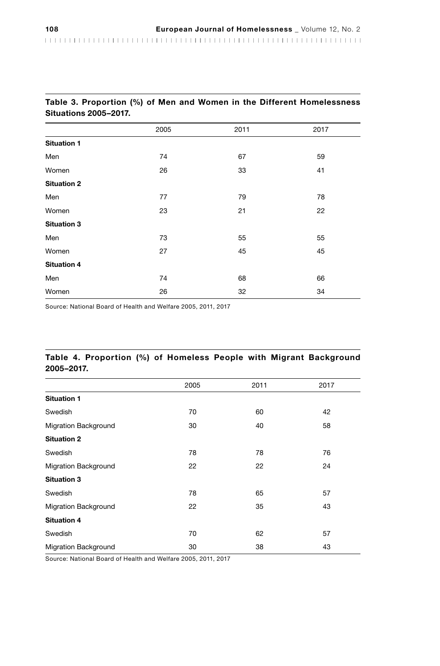|                    | 2005 | 2011 | 2017 |  |  |
|--------------------|------|------|------|--|--|
| <b>Situation 1</b> |      |      |      |  |  |
| Men                | 74   | 67   | 59   |  |  |
| Women              | 26   | 33   | 41   |  |  |
| <b>Situation 2</b> |      |      |      |  |  |
| Men                | 77   | 79   | 78   |  |  |
| Women              | 23   | 21   | 22   |  |  |
| <b>Situation 3</b> |      |      |      |  |  |
| Men                | 73   | 55   | 55   |  |  |
| Women              | 27   | 45   | 45   |  |  |
| <b>Situation 4</b> |      |      |      |  |  |
| Men                | 74   | 68   | 66   |  |  |
| Women              | 26   | 32   | 34   |  |  |

#### Table 3. Proportion (%) of Men and Women in the Different Homelessness Situations 2005–2017.

Source: National Board of Health and Welfare 2005, 2011, 2017

#### Table 4. Proportion (%) of Homeless People with Migrant Background 2005–2017.

|                             | 2005 | 2011 | 2017 |
|-----------------------------|------|------|------|
| <b>Situation 1</b>          |      |      |      |
| Swedish                     | 70   | 60   | 42   |
| <b>Migration Background</b> | 30   | 40   | 58   |
| <b>Situation 2</b>          |      |      |      |
| Swedish                     | 78   | 78   | 76   |
| <b>Migration Background</b> | 22   | 22   | 24   |
| <b>Situation 3</b>          |      |      |      |
| Swedish                     | 78   | 65   | 57   |
| <b>Migration Background</b> | 22   | 35   | 43   |
| <b>Situation 4</b>          |      |      |      |
| Swedish                     | 70   | 62   | 57   |
| <b>Migration Background</b> | 30   | 38   | 43   |

Source: National Board of Health and Welfare 2005, 2011, 2017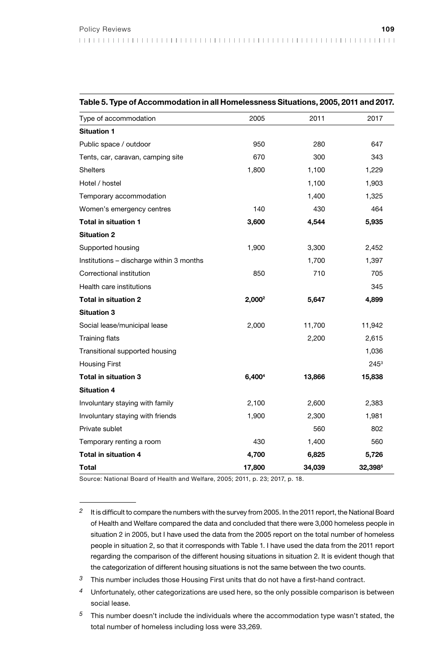| Table 5. Type of Accommodation in all Homelessness Situations, 2005, 2011 and 2017. |                    |        |         |  |  |
|-------------------------------------------------------------------------------------|--------------------|--------|---------|--|--|
| Type of accommodation                                                               | 2005               | 2011   | 2017    |  |  |
| <b>Situation 1</b>                                                                  |                    |        |         |  |  |
| Public space / outdoor                                                              | 950                | 280    | 647     |  |  |
| Tents, car, caravan, camping site                                                   | 670                | 300    | 343     |  |  |
| <b>Shelters</b>                                                                     | 1,800              | 1,100  | 1,229   |  |  |
| Hotel / hostel                                                                      |                    | 1,100  | 1,903   |  |  |
| Temporary accommodation                                                             |                    | 1,400  | 1,325   |  |  |
| Women's emergency centres                                                           | 140                | 430    | 464     |  |  |
| Total in situation 1                                                                | 3,600              | 4,544  | 5,935   |  |  |
| <b>Situation 2</b>                                                                  |                    |        |         |  |  |
| Supported housing                                                                   | 1,900              | 3,300  | 2,452   |  |  |
| Institutions - discharge within 3 months                                            |                    | 1,700  | 1,397   |  |  |
| Correctional institution                                                            | 850                | 710    | 705     |  |  |
| Health care institutions                                                            |                    |        | 345     |  |  |
| <b>Total in situation 2</b>                                                         | 2,000 <sup>2</sup> | 5,647  | 4,899   |  |  |
| <b>Situation 3</b>                                                                  |                    |        |         |  |  |
| Social lease/municipal lease                                                        | 2,000              | 11,700 | 11,942  |  |  |
| <b>Training flats</b>                                                               |                    | 2,200  | 2,615   |  |  |
| Transitional supported housing                                                      |                    |        | 1,036   |  |  |
| <b>Housing First</b>                                                                |                    |        | $245^3$ |  |  |
| Total in situation 3                                                                | 6,4004             | 13,866 | 15,838  |  |  |
| <b>Situation 4</b>                                                                  |                    |        |         |  |  |
| Involuntary staying with family                                                     | 2,100              | 2,600  | 2,383   |  |  |
| Involuntary staying with friends                                                    | 1,900              | 2,300  | 1,981   |  |  |
| Private sublet                                                                      |                    | 560    | 802     |  |  |
| Temporary renting a room                                                            | 430                | 1,400  | 560     |  |  |
| <b>Total in situation 4</b>                                                         | 4,700              | 6,825  | 5,726   |  |  |
| Total                                                                               | 17,800             | 34,039 | 32,3985 |  |  |

Source: National Board of Health and Welfare, 2005; 2011, p. 23; 2017, p. 18.

- *3* This number includes those Housing First units that do not have a first-hand contract.
- *4* Unfortunately, other categorizations are used here, so the only possible comparison is between social lease.
- *5* This number doesn't include the individuals where the accommodation type wasn't stated, the total number of homeless including loss were 33,269.

*<sup>2</sup>* It is difficult to compare the numbers with the survey from 2005. In the 2011 report, the National Board of Health and Welfare compared the data and concluded that there were 3,000 homeless people in situation 2 in 2005, but I have used the data from the 2005 report on the total number of homeless people in situation 2, so that it corresponds with Table 1. I have used the data from the 2011 report regarding the comparison of the different housing situations in situation 2. It is evident though that the categorization of different housing situations is not the same between the two counts.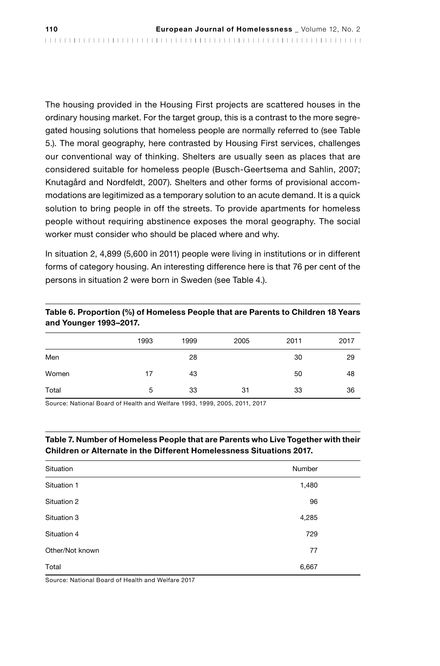The housing provided in the Housing First projects are scattered houses in the ordinary housing market. For the target group, this is a contrast to the more segregated housing solutions that homeless people are normally referred to (see Table 5.). The moral geography, here contrasted by Housing First services, challenges our conventional way of thinking. Shelters are usually seen as places that are considered suitable for homeless people (Busch-Geertsema and Sahlin, 2007; Knutagård and Nordfeldt, 2007). Shelters and other forms of provisional accommodations are legitimized as a temporary solution to an acute demand. It is a quick solution to bring people in off the streets. To provide apartments for homeless people without requiring abstinence exposes the moral geography. The social worker must consider who should be placed where and why.

In situation 2, 4,899 (5,600 in 2011) people were living in institutions or in different forms of category housing. An interesting difference here is that 76 per cent of the persons in situation 2 were born in Sweden (see Table 4.).

#### Table 6. Proportion (%) of Homeless People that are Parents to Children 18 Years and Younger 1993–2017.

|       | 1993 | 1999 | 2005 | 2011 | 2017 |
|-------|------|------|------|------|------|
| Men   |      | 28   |      | 30   | 29   |
| Women | 17   | 43   |      | 50   | 48   |
| Total | 5    | 33   | 31   | 33   | 36   |

Source: National Board of Health and Welfare 1993, 1999, 2005, 2011, 2017

#### Table 7. Number of Homeless People that are Parents who Live Together with their Children or Alternate in the Different Homelessness Situations 2017.

| Situation       | Number |  |
|-----------------|--------|--|
| Situation 1     | 1,480  |  |
| Situation 2     | 96     |  |
| Situation 3     | 4,285  |  |
| Situation 4     | 729    |  |
| Other/Not known | 77     |  |
| Total           | 6,667  |  |

Source: National Board of Health and Welfare 2017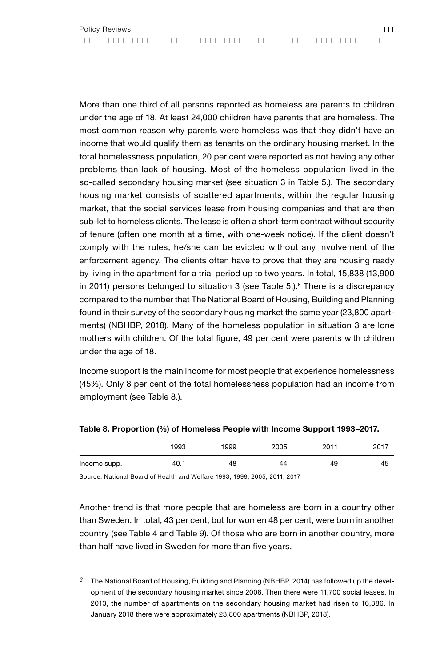More than one third of all persons reported as homeless are parents to children under the age of 18. At least 24,000 children have parents that are homeless. The most common reason why parents were homeless was that they didn't have an income that would qualify them as tenants on the ordinary housing market. In the total homelessness population, 20 per cent were reported as not having any other problems than lack of housing. Most of the homeless population lived in the so-called secondary housing market (see situation 3 in Table 5.). The secondary housing market consists of scattered apartments, within the regular housing market, that the social services lease from housing companies and that are then sub-let to homeless clients. The lease is often a short-term contract without security of tenure (often one month at a time, with one-week notice). If the client doesn't comply with the rules, he/she can be evicted without any involvement of the enforcement agency. The clients often have to prove that they are housing ready by living in the apartment for a trial period up to two years. In total, 15,838 (13,900 in 2011) persons belonged to situation 3 (see Table 5.).<sup>6</sup> There is a discrepancy compared to the number that The National Board of Housing, Building and Planning found in their survey of the secondary housing market the same year (23,800 apartments) (NBHBP, 2018). Many of the homeless population in situation 3 are lone mothers with children. Of the total figure, 49 per cent were parents with children under the age of 18.

Income support is the main income for most people that experience homelessness (45%). Only 8 per cent of the total homelessness population had an income from employment (see Table 8.).

| Table 8. Proportion (%) of Homeless People with Income Support 1993–2017. |      |      |      |      |      |
|---------------------------------------------------------------------------|------|------|------|------|------|
|                                                                           | 1993 | 1999 | 2005 | 2011 | 2017 |
| Income supp.                                                              | 40.1 | 48   | 44   | 49   | 45   |

Source: National Board of Health and Welfare 1993, 1999, 2005, 2011, 2017

Another trend is that more people that are homeless are born in a country other than Sweden. In total, 43 per cent, but for women 48 per cent, were born in another country (see Table 4 and Table 9). Of those who are born in another country, more than half have lived in Sweden for more than five years.

*<sup>6</sup>* The National Board of Housing, Building and Planning (NBHBP, 2014) has followed up the development of the secondary housing market since 2008. Then there were 11,700 social leases. In 2013, the number of apartments on the secondary housing market had risen to 16,386. In January 2018 there were approximately 23,800 apartments (NBHBP, 2018).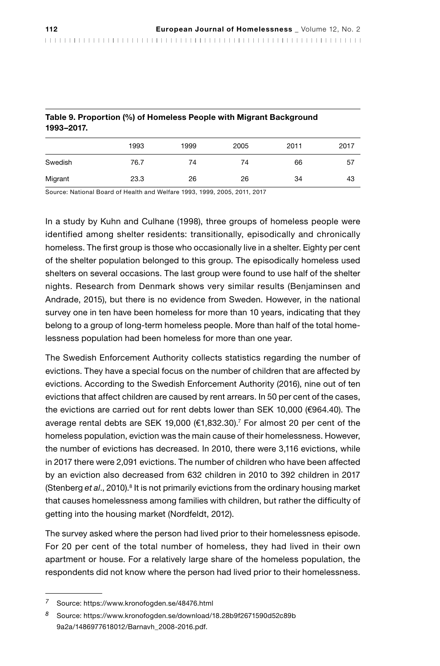| Table 9. Proportion (%) of Homeless People with Migrant Background<br>1993-2017. |      |      |      |      |      |
|----------------------------------------------------------------------------------|------|------|------|------|------|
|                                                                                  | 1993 | 1999 | 2005 | 2011 | 2017 |
| Swedish                                                                          | 76.7 | 74   | 74   | 66   | 57   |
| Migrant                                                                          | 23.3 | 26   | 26   | 34   | 43   |

Table 9. Proportion (%) of Homeless People with Migrant Background

Source: National Board of Health and Welfare 1993, 1999, 2005, 2011, 2017

In a study by Kuhn and Culhane (1998), three groups of homeless people were identified among shelter residents: transitionally, episodically and chronically homeless. The first group is those who occasionally live in a shelter. Eighty per cent of the shelter population belonged to this group. The episodically homeless used shelters on several occasions. The last group were found to use half of the shelter nights. Research from Denmark shows very similar results (Benjaminsen and Andrade, 2015), but there is no evidence from Sweden. However, in the national survey one in ten have been homeless for more than 10 years, indicating that they belong to a group of long-term homeless people. More than half of the total homelessness population had been homeless for more than one year.

The Swedish Enforcement Authority collects statistics regarding the number of evictions. They have a special focus on the number of children that are affected by evictions. According to the Swedish Enforcement Authority (2016), nine out of ten evictions that affect children are caused by rent arrears. In 50 per cent of the cases, the evictions are carried out for rent debts lower than SEK 10,000 (€964.40). The average rental debts are SEK 19,000 (€1,832.30).7 For almost 20 per cent of the homeless population, eviction was the main cause of their homelessness. However, the number of evictions has decreased. In 2010, there were 3,116 evictions, while in 2017 there were 2,091 evictions. The number of children who have been affected by an eviction also decreased from 632 children in 2010 to 392 children in 2017 (Stenberg et al., 2010).<sup>8</sup> It is not primarily evictions from the ordinary housing market that causes homelessness among families with children, but rather the difficulty of getting into the housing market (Nordfeldt, 2012).

The survey asked where the person had lived prior to their homelessness episode. For 20 per cent of the total number of homeless, they had lived in their own apartment or house. For a relatively large share of the homeless population, the respondents did not know where the person had lived prior to their homelessness.

*<sup>7</sup>* Source: https://www.kronofogden.se/48476.html

*<sup>8</sup>* Source: https://www.kronofogden.se/download/18.28b9f2671590d52c89b 9a2a/1486977618012/Barnavh\_2008-2016.pdf.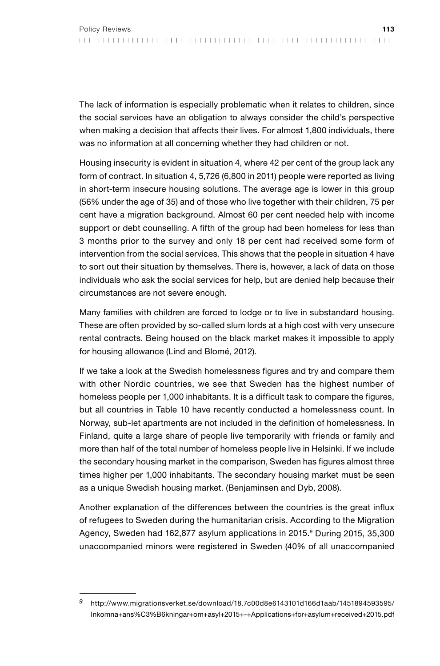The lack of information is especially problematic when it relates to children, since the social services have an obligation to always consider the child's perspective when making a decision that affects their lives. For almost 1,800 individuals, there was no information at all concerning whether they had children or not.

Housing insecurity is evident in situation 4, where 42 per cent of the group lack any form of contract. In situation 4, 5,726 (6,800 in 2011) people were reported as living in short-term insecure housing solutions. The average age is lower in this group (56% under the age of 35) and of those who live together with their children, 75 per cent have a migration background. Almost 60 per cent needed help with income support or debt counselling. A fifth of the group had been homeless for less than 3 months prior to the survey and only 18 per cent had received some form of intervention from the social services. This shows that the people in situation 4 have to sort out their situation by themselves. There is, however, a lack of data on those individuals who ask the social services for help, but are denied help because their circumstances are not severe enough.

Many families with children are forced to lodge or to live in substandard housing. These are often provided by so-called slum lords at a high cost with very unsecure rental contracts. Being housed on the black market makes it impossible to apply for housing allowance (Lind and Blomé, 2012).

If we take a look at the Swedish homelessness figures and try and compare them with other Nordic countries, we see that Sweden has the highest number of homeless people per 1,000 inhabitants. It is a difficult task to compare the figures, but all countries in Table 10 have recently conducted a homelessness count. In Norway, sub-let apartments are not included in the definition of homelessness. In Finland, quite a large share of people live temporarily with friends or family and more than half of the total number of homeless people live in Helsinki. If we include the secondary housing market in the comparison, Sweden has figures almost three times higher per 1,000 inhabitants. The secondary housing market must be seen as a unique Swedish housing market. (Benjaminsen and Dyb, 2008).

Another explanation of the differences between the countries is the great influx of refugees to Sweden during the humanitarian crisis. According to the Migration Agency, Sweden had 162,877 asylum applications in 2015.<sup>9</sup> During 2015, 35,300 unaccompanied minors were registered in Sweden (40% of all unaccompanied

*<sup>9</sup>* http://www.migrationsverket.se/download/18.7c00d8e6143101d166d1aab/1451894593595/ Inkomna+ans%C3%B6kningar+om+asyl+2015+-+Applications+for+asylum+received+2015.pdf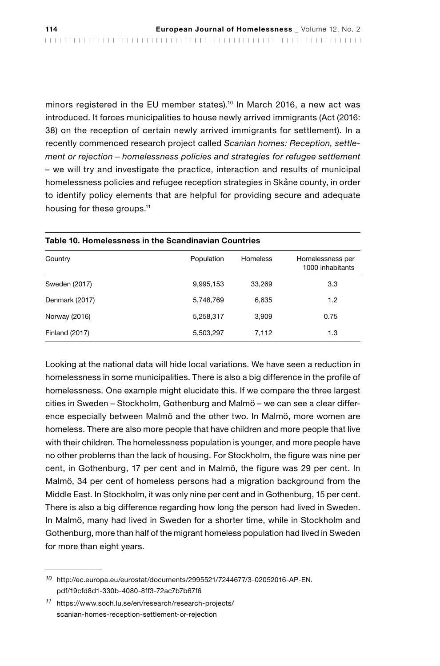minors registered in the EU member states).10 In March 2016, a new act was introduced. It forces municipalities to house newly arrived immigrants (Act (2016: 38) on the reception of certain newly arrived immigrants for settlement). In a recently commenced research project called *Scanian homes: Reception, settlement or rejection – homelessness policies and strategies for refugee settlement* – we will try and investigate the practice, interaction and results of municipal homelessness policies and refugee reception strategies in Skåne county, in order to identify policy elements that are helpful for providing secure and adequate housing for these groups.<sup>11</sup>

| Table 10. Homelessness in the Scandinavian Countries |            |                 |                                      |  |  |
|------------------------------------------------------|------------|-----------------|--------------------------------------|--|--|
| Country                                              | Population | <b>Homeless</b> | Homelessness per<br>1000 inhabitants |  |  |
| Sweden (2017)                                        | 9,995,153  | 33.269          | 3.3                                  |  |  |
| Denmark (2017)                                       | 5,748,769  | 6,635           | 1.2                                  |  |  |
| Norway (2016)                                        | 5,258,317  | 3,909           | 0.75                                 |  |  |
| <b>Finland (2017)</b>                                | 5,503,297  | 7,112           | 1.3                                  |  |  |

Looking at the national data will hide local variations. We have seen a reduction in homelessness in some municipalities. There is also a big difference in the profile of homelessness. One example might elucidate this. If we compare the three largest cities in Sweden – Stockholm, Gothenburg and Malmö – we can see a clear difference especially between Malmö and the other two. In Malmö, more women are homeless. There are also more people that have children and more people that live with their children. The homelessness population is younger, and more people have no other problems than the lack of housing. For Stockholm, the figure was nine per cent, in Gothenburg, 17 per cent and in Malmö, the figure was 29 per cent. In Malmö, 34 per cent of homeless persons had a migration background from the Middle East. In Stockholm, it was only nine per cent and in Gothenburg, 15 per cent. There is also a big difference regarding how long the person had lived in Sweden. In Malmö, many had lived in Sweden for a shorter time, while in Stockholm and Gothenburg, more than half of the migrant homeless population had lived in Sweden for more than eight years.

*<sup>10</sup>* http://ec.europa.eu/eurostat/documents/2995521/7244677/3-02052016-AP-EN. pdf/19cfd8d1-330b-4080-8ff3-72ac7b7b67f6

*<sup>11</sup>* https://www.soch.lu.se/en/research/research-projects/ scanian-homes-reception-settlement-or-rejection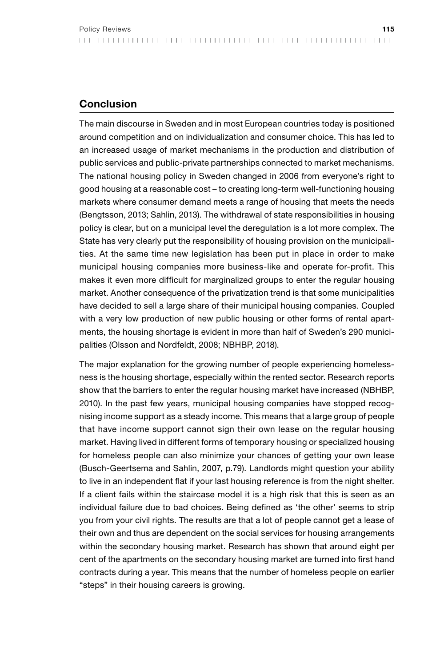# Conclusion

The main discourse in Sweden and in most European countries today is positioned around competition and on individualization and consumer choice. This has led to an increased usage of market mechanisms in the production and distribution of public services and public-private partnerships connected to market mechanisms. The national housing policy in Sweden changed in 2006 from everyone's right to good housing at a reasonable cost – to creating long-term well-functioning housing markets where consumer demand meets a range of housing that meets the needs (Bengtsson, 2013; Sahlin, 2013). The withdrawal of state responsibilities in housing policy is clear, but on a municipal level the deregulation is a lot more complex. The State has very clearly put the responsibility of housing provision on the municipalities. At the same time new legislation has been put in place in order to make municipal housing companies more business-like and operate for-profit. This makes it even more difficult for marginalized groups to enter the regular housing market. Another consequence of the privatization trend is that some municipalities have decided to sell a large share of their municipal housing companies. Coupled with a very low production of new public housing or other forms of rental apartments, the housing shortage is evident in more than half of Sweden's 290 municipalities (Olsson and Nordfeldt, 2008; NBHBP, 2018).

The major explanation for the growing number of people experiencing homelessness is the housing shortage, especially within the rented sector. Research reports show that the barriers to enter the regular housing market have increased (NBHBP, 2010). In the past few years, municipal housing companies have stopped recognising income support as a steady income. This means that a large group of people that have income support cannot sign their own lease on the regular housing market. Having lived in different forms of temporary housing or specialized housing for homeless people can also minimize your chances of getting your own lease (Busch-Geertsema and Sahlin, 2007, p.79). Landlords might question your ability to live in an independent flat if your last housing reference is from the night shelter. If a client fails within the staircase model it is a high risk that this is seen as an individual failure due to bad choices. Being defined as 'the other' seems to strip you from your civil rights. The results are that a lot of people cannot get a lease of their own and thus are dependent on the social services for housing arrangements within the secondary housing market. Research has shown that around eight per cent of the apartments on the secondary housing market are turned into first hand contracts during a year. This means that the number of homeless people on earlier "steps" in their housing careers is growing.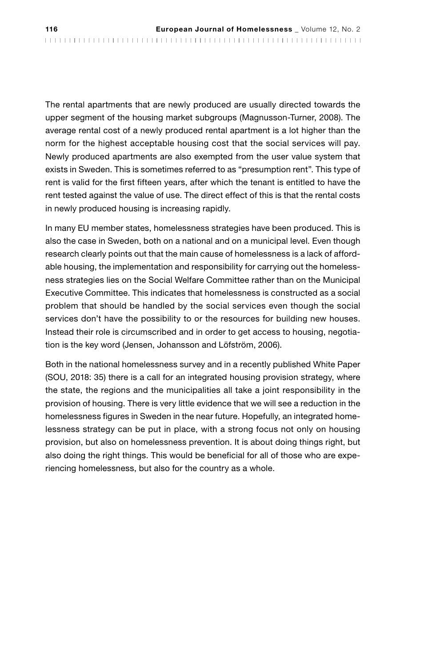The rental apartments that are newly produced are usually directed towards the upper segment of the housing market subgroups (Magnusson-Turner, 2008). The average rental cost of a newly produced rental apartment is a lot higher than the norm for the highest acceptable housing cost that the social services will pay. Newly produced apartments are also exempted from the user value system that exists in Sweden. This is sometimes referred to as "presumption rent". This type of rent is valid for the first fifteen years, after which the tenant is entitled to have the rent tested against the value of use. The direct effect of this is that the rental costs in newly produced housing is increasing rapidly.

In many EU member states, homelessness strategies have been produced. This is also the case in Sweden, both on a national and on a municipal level. Even though research clearly points out that the main cause of homelessness is a lack of affordable housing, the implementation and responsibility for carrying out the homelessness strategies lies on the Social Welfare Committee rather than on the Municipal Executive Committee. This indicates that homelessness is constructed as a social problem that should be handled by the social services even though the social services don't have the possibility to or the resources for building new houses. Instead their role is circumscribed and in order to get access to housing, negotiation is the key word (Jensen, Johansson and Löfström, 2006).

Both in the national homelessness survey and in a recently published White Paper (SOU, 2018: 35) there is a call for an integrated housing provision strategy, where the state, the regions and the municipalities all take a joint responsibility in the provision of housing. There is very little evidence that we will see a reduction in the homelessness figures in Sweden in the near future. Hopefully, an integrated homelessness strategy can be put in place, with a strong focus not only on housing provision, but also on homelessness prevention. It is about doing things right, but also doing the right things. This would be beneficial for all of those who are experiencing homelessness, but also for the country as a whole.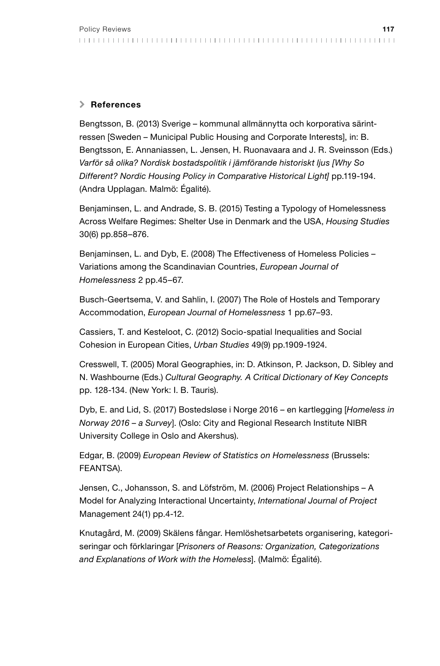### > References

Bengtsson, B. (2013) Sverige – kommunal allmännytta och korporativa särintressen [Sweden – Municipal Public Housing and Corporate Interests], in: B. Bengtsson, E. Annaniassen, L. Jensen, H. Ruonavaara and J. R. Sveinsson (Eds.) *Varför så olika? Nordisk bostadspolitik i jämförande historiskt ljus [Why So Different? Nordic Housing Policy in Comparative Historical Light]* pp.119-194. (Andra Upplagan. Malmö: Égalité).

Benjaminsen, L. and Andrade, S. B. (2015) Testing a Typology of Homelessness Across Welfare Regimes: Shelter Use in Denmark and the USA, *Housing Studies*  30(6) pp.858–876.

Benjaminsen, L. and Dyb, E. (2008) The Effectiveness of Homeless Policies – Variations among the Scandinavian Countries, *European Journal of Homelessness* 2 pp.45–67.

Busch-Geertsema, V. and Sahlin, I. (2007) The Role of Hostels and Temporary Accommodation, *European Journal of Homelessness* 1 pp.67–93.

Cassiers, T. and Kesteloot, C. (2012) Socio-spatial Inequalities and Social Cohesion in European Cities, *Urban Studies* 49(9) pp.1909-1924.

Cresswell, T. (2005) Moral Geographies, in: D. Atkinson, P. Jackson, D. Sibley and N. Washbourne (Eds.) *Cultural Geography. A Critical Dictionary of Key Concepts* pp. 128-134. (New York: I. B. Tauris).

Dyb, E. and Lid, S. (2017) Bostedsløse i Norge 2016 – en kartlegging [*Homeless in Norway 2016 – a Survey*]. (Oslo: City and Regional Research Institute NIBR University College in Oslo and Akershus).

Edgar, B. (2009) *European Review of Statistics on Homelessness* (Brussels: FEANTSA).

Jensen, C., Johansson, S. and Löfström, M. (2006) Project Relationships – A Model for Analyzing Interactional Uncertainty, *International Journal of Project* Management 24(1) pp.4-12.

Knutagård, M. (2009) Skälens fångar. Hemlöshetsarbetets organisering, kategoriseringar och förklaringar [*Prisoners of Reasons: Organization, Categorizations and Explanations of Work with the Homeless*]. (Malmö: Égalité).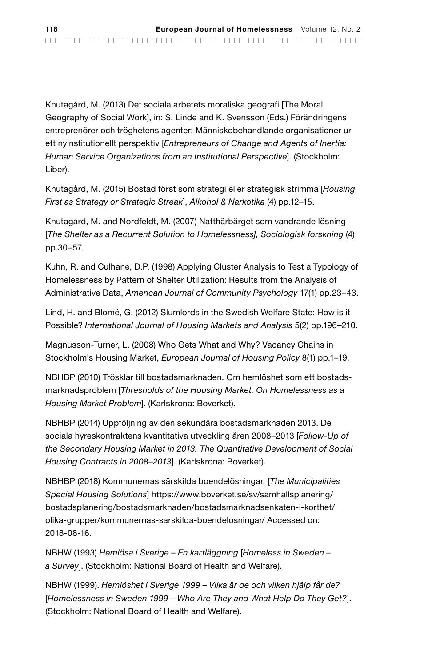Knutagård, M. (2013) Det sociala arbetets moraliska geografi [The Moral Geography of Social Work], in: S. Linde and K. Svensson (Eds.) Förändringens entreprenörer och tröghetens agenter: Människobehandlande organisationer ur ett nyinstitutionellt perspektiv [*Entrepreneurs of Change and Agents of Inertia: Human Service Organizations from an Institutional Perspective*]. (Stockholm: Liber).

Knutagård, M. (2015) Bostad först som strategi eller strategisk strimma [*Housing First as Strategy or Strategic Streak*], *Alkohol & Narkotika* (4) pp.12–15.

Knutagård, M. and Nordfeldt, M. (2007) Natthärbärget som vandrande lösning [*The Shelter as a Recurrent Solution to Homelessness], Sociologisk forskning* (4) pp.30–57.

Kuhn, R. and Culhane, D.P. (1998) Applying Cluster Analysis to Test a Typology of Homelessness by Pattern of Shelter Utilization: Results from the Analysis of Administrative Data, *American Journal of Community Psychology* 17(1) pp.23–43.

Lind, H. and Blomé, G. (2012) Slumlords in the Swedish Welfare State: How is it Possible? *International Journal of Housing Markets and Analysis* 5(2) pp.196–210.

Magnusson-Turner, L. (2008) Who Gets What and Why? Vacancy Chains in Stockholm's Housing Market, *European Journal of Housing Policy* 8(1) pp.1–19.

NBHBP (2010) Trösklar till bostadsmarknaden. Om hemlöshet som ett bostadsmarknadsproblem [*Thresholds of the Housing Market. On Homelessness as a Housing Market Problem*]. (Karlskrona: Boverket).

NBHBP (2014) Uppföljning av den sekundära bostadsmarknaden 2013. De sociala hyreskontraktens kvantitativa utveckling åren 2008–2013 [*Follow-Up of the Secondary Housing Market in 2013. The Quantitative Development of Social Housing Contracts in 2008–2013*]. (Karlskrona: Boverket).

NBHBP (2018) Kommunernas särskilda boendelösningar. [*The Municipalities Special Housing Solutions*] https://www.boverket.se/sv/samhallsplanering/ bostadsplanering/bostadsmarknaden/bostadsmarknadsenkaten-i-korthet/ olika-grupper/kommunernas-sarskilda-boendelosningar/ Accessed on: 2018-08-16.

NBHW (1993) *Hemlösa i Sverige – En kartläggning* [*Homeless in Sweden – a Survey*]. (Stockholm: National Board of Health and Welfare).

NBHW (1999). *Hemlöshet i Sverige 1999 – Vilka är de och vilken hjälp får de?*  [*Homelessness in Sweden 1999 – Who Are They and What Help Do They Get?*]. (Stockholm: National Board of Health and Welfare).